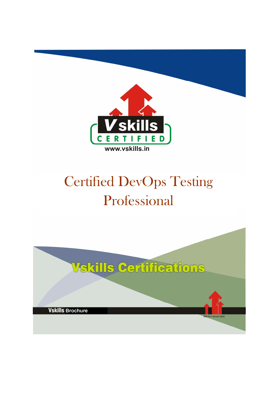

# Certified DevOps Testing Professional

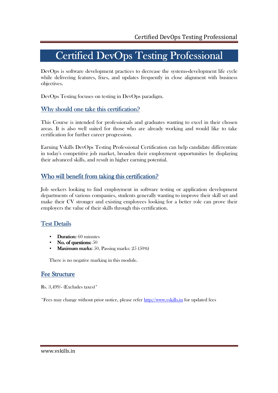## Certified DevOps Testing Professional

DevOps is software development practices to decrease the systems-development life cycle while delivering features, fixes, and updates frequently in close alignment with business objectives.

DevOps Testing focuses on testing in DevOps paradigm.

### Why should one take this certification?

This Course is intended for professionals and graduates wanting to excel in their chosen areas. It is also well suited for those who are already working and would like to take certification for further career progression.

Earning Vskills DevOps Testing Professional Certification can help candidate differentiate in today's competitive job market, broaden their employment opportunities by displaying their advanced skills, and result in higher earning potential.

### Who will benefit from taking this certification?

Job seekers looking to find employment in software testing or application development departments of various companies, students generally wanting to improve their skill set and make their CV stronger and existing employees looking for a better role can prove their employers the value of their skills through this certification.

### Test Details

- Duration:  $60$  minutes
- No. of questions: 50
- **Maximum marks:** 50, Passing marks:  $25(50%)$

There is no negative marking in this module.

### Fee Structure

Rs. 3,499/- (Excludes taxes)\*

\*Fees may change without prior notice, please refer http://www.vskills.in for updated fees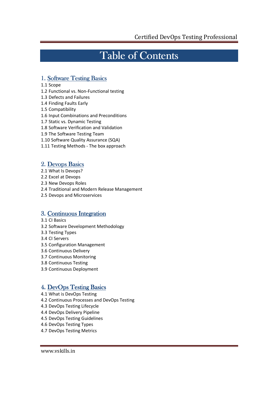## Table of Contents

### 1. Software Testing Basics

- 1.1 Scope
- 1.2 Functional vs. Non-Functional testing
- 1.3 Defects and Failures
- 1.4 Finding Faults Early
- 1.5 Compatibility
- 1.6 Input Combinations and Preconditions
- 1.7 Static vs. Dynamic Testing
- 1.8 Software Verification and Validation
- 1.9 The Software Testing Team
- 1.10 Software Quality Assurance (SQA)
- 1.11 Testing Methods The box approach

### 2. Devops Basics

- 2.1 What Is Devops?
- 2.2 Excel at Devops
- 2.3 New Devops Roles
- 2.4 Traditional and Modern Release Management
- 2.5 Devops and Microservices

### 3. Continuous Integration

- 3.1 CI Basics
- 3.2 Software Development Methodology
- 3.3 Testing Types
- 3.4 CI Servers
- 3.5 Configuration Management
- 3.6 Continuous Delivery
- 3.7 Continuous Monitoring
- 3.8 Continuous Testing
- 3.9 Continuous Deployment

### 4. DevOps Testing Basics

- 4.1 What is DevOps Testing
- 4.2 Continuous Processes and DevOps Testing
- 4.3 DevOps Testing Lifecycle
- 4.4 DevOps Delivery Pipeline
- 4.5 DevOps Testing Guidelines
- 4.6 DevOps Testing Types
- 4.7 DevOps Testing Metrics

www.vskills.in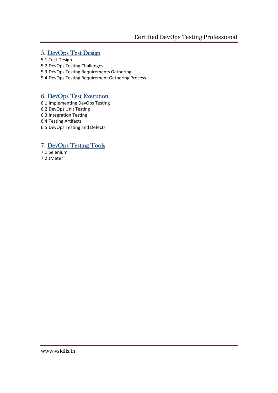### 5. DevOps Test Design

- 5.1 Test Design
- 5.2 DevOps Testing Challenges
- 5.3 DevOps Testing Requirements Gathering
- 5.4 DevOps Testing Requirement Gathering Process

### 6. DevOps Test Execution

- 6.1 Implementing DevOps Testing
- 6.2 DevOps Unit Testing
- 6.3 Integration Testing
- 6.4 Testing Artifacts
- 6.5 DevOps Testing and Defects

### 7. DevOps Testing Tools

7.1 Selenium 7.2 JMeter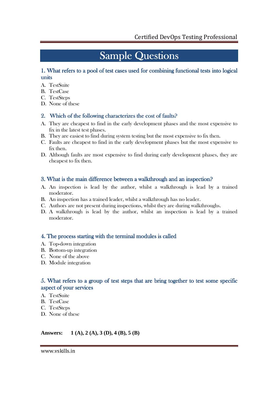## **Sample Questions**

### 1. What refers to a pool of test cases used for combining functional tests into logical units

- A. TestSuite
- B. TestCase
- C. TestSteps
- D. None of these

### 2. Which of the following characterizes the cost of faults?

- A. They are cheapest to find in the early development phases and the most expensive to fix in the latest test phases.
- B. They are easiest to find during system testing but the most expensive to fix then.
- C. Faults are cheapest to find in the early development phases but the most expensive to fix then.
- D. Although faults are most expensive to find during early development phases, they are cheapest to fix then.

### 3. What is the main difference between a walkthrough and an inspection?

- A. An inspection is lead by the author, whilst a walkthrough is lead by a trained moderator.
- B. An inspection has a trained leader, whilst a walkthrough has no leader.
- C. Authors are not present during inspections, whilst they are during walkthroughs.
- D. A walkthrough is lead by the author, whilst an inspection is lead by a trained moderator.

### 4. The process starting with the terminal modules is called

- A. Top-down integration
- B. Bottom-up integration
- C. None of the above
- D. Module integration

### 5. What refers to a group of test steps that are bring together to test some specific aspect of your services

- A. TestSuite
- B. TestCase
- C. TestSteps
- D. None of these

### **Answers: 1 (A), 2 (A), 3 (D), 4 (B), 5 (B)**

www.vskills.in